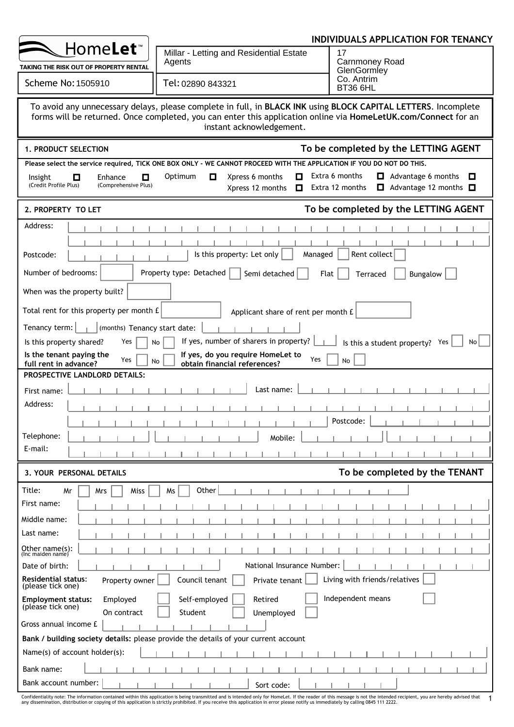|                                                                                    |                                                                                                                                                                                                                                                              | INDIVIDUALS APPLICATION FOR TENANCY                                                                      |
|------------------------------------------------------------------------------------|--------------------------------------------------------------------------------------------------------------------------------------------------------------------------------------------------------------------------------------------------------------|----------------------------------------------------------------------------------------------------------|
| Home <b>Let</b> ™                                                                  | Millar - Letting and Residential Estate<br>Agents                                                                                                                                                                                                            | 17<br><b>Carnmoney Road</b>                                                                              |
| TAKING THE RISK OUT OF PROPERTY RENTAL                                             |                                                                                                                                                                                                                                                              | GlenGormley                                                                                              |
| Scheme No: 1505910                                                                 | Tel: 02890 843321                                                                                                                                                                                                                                            | Co. Antrim<br>BT36 6HL                                                                                   |
|                                                                                    | To avoid any unnecessary delays, please complete in full, in BLACK INK using BLOCK CAPITAL LETTERS. Incomplete<br>forms will be returned. Once completed, you can enter this application online via HomeLetUK.com/Connect for an<br>instant acknowledgement. |                                                                                                          |
| 1. PRODUCT SELECTION                                                               |                                                                                                                                                                                                                                                              | To be completed by the LETTING AGENT                                                                     |
|                                                                                    | Please select the service required, TICK ONE BOX ONLY - WE CANNOT PROCEED WITH THE APPLICATION IF YOU DO NOT DO THIS.                                                                                                                                        |                                                                                                          |
| $\Box$<br>О<br>Enhance<br>Insight<br>(Credit Profile Plus)<br>(Comprehensive Plus) | Xpress 6 months<br>О<br>Optimum<br>O<br>Xpress 12 months<br>$\Box$                                                                                                                                                                                           | Extra 6 months<br>$\Box$ Advantage 6 months<br>0<br>Extra 12 months<br>$\Box$ Advantage 12 months $\Box$ |
| 2. PROPERTY TO LET                                                                 |                                                                                                                                                                                                                                                              | To be completed by the LETTING AGENT                                                                     |
| Address:                                                                           |                                                                                                                                                                                                                                                              |                                                                                                          |
|                                                                                    |                                                                                                                                                                                                                                                              |                                                                                                          |
| Postcode:                                                                          | Is this property: Let only<br>Managed                                                                                                                                                                                                                        | Rent collect                                                                                             |
| Number of bedrooms:                                                                | Property type: Detached<br>Semi detached<br>Flat                                                                                                                                                                                                             | Bungalow<br>Terraced                                                                                     |
| When was the property built?                                                       |                                                                                                                                                                                                                                                              |                                                                                                          |
| Total rent for this property per month £                                           | Applicant share of rent per month £                                                                                                                                                                                                                          |                                                                                                          |
| Tenancy term: $\vert \vert$ $\vert$ (months) Tenancy start date:                   |                                                                                                                                                                                                                                                              |                                                                                                          |
| Is this property shared?<br>Yes                                                    | If yes, number of sharers in property?<br>No                                                                                                                                                                                                                 | Is this a student property? Yes<br>No <sub>1</sub>                                                       |
| Is the tenant paying the<br>Yes<br>full rent in advance?                           | If yes, do you require HomeLet to<br>Yes<br>No<br>obtain financial references?                                                                                                                                                                               | N <sub>o</sub>                                                                                           |
| PROSPECTIVE LANDLORD DETAILS:                                                      |                                                                                                                                                                                                                                                              |                                                                                                          |
| First name:                                                                        | Last name:                                                                                                                                                                                                                                                   |                                                                                                          |
| Address:                                                                           |                                                                                                                                                                                                                                                              |                                                                                                          |
|                                                                                    |                                                                                                                                                                                                                                                              | Postcode:                                                                                                |
| Telephone:                                                                         | Mobile:                                                                                                                                                                                                                                                      |                                                                                                          |
| E-mail:                                                                            |                                                                                                                                                                                                                                                              |                                                                                                          |
| 3. YOUR PERSONAL DETAILS                                                           |                                                                                                                                                                                                                                                              | To be completed by the TENANT                                                                            |
|                                                                                    |                                                                                                                                                                                                                                                              |                                                                                                          |
| Title:<br>Mr<br>Miss<br>Mrs<br>First name:                                         | Other<br>Ms                                                                                                                                                                                                                                                  |                                                                                                          |
|                                                                                    |                                                                                                                                                                                                                                                              |                                                                                                          |
| Middle name:<br>Last name:                                                         |                                                                                                                                                                                                                                                              |                                                                                                          |
|                                                                                    |                                                                                                                                                                                                                                                              |                                                                                                          |
| Other name(s):<br>(Inc maiden name)                                                |                                                                                                                                                                                                                                                              |                                                                                                          |
| Date of birth:<br><b>Residential status:</b>                                       | National Insurance Number:<br>Council tenant                                                                                                                                                                                                                 | Living with friends/relatives                                                                            |
| Property owner<br>(please tick one)                                                | Private tenant                                                                                                                                                                                                                                               |                                                                                                          |
| Employed<br><b>Employment status:</b><br>(please tick one)<br>On contract          | Self-employed<br>Retired<br>Student<br>Unemployed                                                                                                                                                                                                            | Independent means                                                                                        |
| Gross annual income £                                                              |                                                                                                                                                                                                                                                              |                                                                                                          |
|                                                                                    | Bank / building society details: please provide the details of your current account                                                                                                                                                                          |                                                                                                          |
| Name(s) of account holder(s):                                                      |                                                                                                                                                                                                                                                              |                                                                                                          |
| Bank name:                                                                         |                                                                                                                                                                                                                                                              |                                                                                                          |
| Bank account number:                                                               | Sort code:                                                                                                                                                                                                                                                   |                                                                                                          |

Confidentiality note: The information contained within this application is being transmitted and is intended only for HomeLet. If the reader of this message is not the intended recipient, you are hereby advised that 1<br>any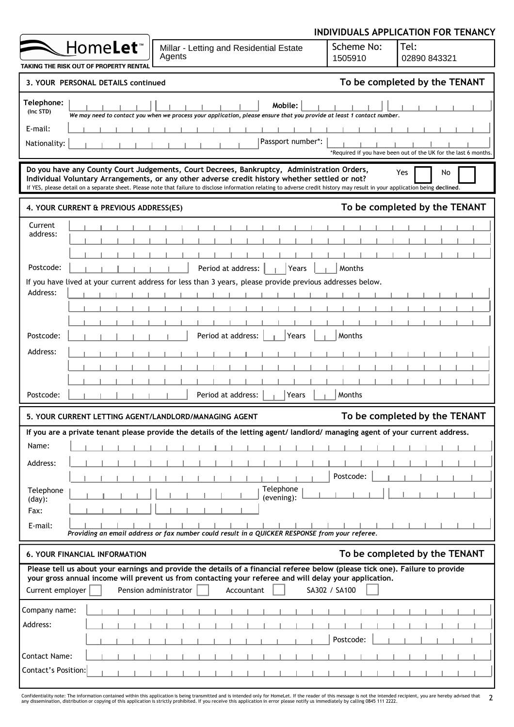|                                                                                                                                                                                                                                                                                                                                                                               |                       | INDIVIDUALS APPLICATION FOR TENANCY                             |
|-------------------------------------------------------------------------------------------------------------------------------------------------------------------------------------------------------------------------------------------------------------------------------------------------------------------------------------------------------------------------------|-----------------------|-----------------------------------------------------------------|
| Home <b>Let</b> <sup>*</sup><br>Millar - Letting and Residential Estate<br>Agents<br>TAKING THE RISK OUT OF PROPERTY RENTAI                                                                                                                                                                                                                                                   | Scheme No:<br>1505910 | Tel:<br>02890 843321                                            |
| 3. YOUR PERSONAL DETAILS continued                                                                                                                                                                                                                                                                                                                                            |                       | To be completed by the TENANT                                   |
| Telephone:<br>Mobile:<br>(Inc STD)<br>We may need to contact you when we process your application, please ensure that you provide at least 1 contact number.<br>E-mail:<br>Passport number*:<br>Nationality:                                                                                                                                                                  |                       | *Required if you have been out of the UK for the last 6 months. |
| Do you have any County Court Judgements, Court Decrees, Bankruptcy, Administration Orders,<br>Individual Voluntary Arrangements, or any other adverse credit history whether settled or not?<br>If YES, please detail on a separate sheet. Please note that failure to disclose information relating to adverse credit history may result in your application being declined. |                       | Yes<br>No                                                       |
| 4. YOUR CURRENT & PREVIOUS ADDRESS(ES)                                                                                                                                                                                                                                                                                                                                        |                       | To be completed by the TENANT                                   |
| Current<br>address:                                                                                                                                                                                                                                                                                                                                                           |                       |                                                                 |
| Postcode:<br>Period at address:<br>Years                                                                                                                                                                                                                                                                                                                                      | Months                |                                                                 |
| If you have lived at your current address for less than 3 years, please provide previous addresses below.<br>Address:<br>Period at address:<br>Postcode:<br>Years<br>Address:<br>Period at address:<br>∦Years<br>Postcode:                                                                                                                                                    | Months<br>Months      |                                                                 |
| 5. YOUR CURRENT LETTING AGENT/LANDLORD/MANAGING AGENT                                                                                                                                                                                                                                                                                                                         |                       | To be completed by the TENANT                                   |
| If you are a private tenant please provide the details of the letting agent/landlord/managing agent of your current address.<br>Name:<br>Address:<br>Telephone<br>Telephone<br>(evening):<br>$(day)$ :<br>Fax:<br>E-mail:<br>Providing an email address or fax number could result in a QUICKER RESPONSE from your referee.                                                   | Postcode:             |                                                                 |
| <b>6. YOUR FINANCIAL INFORMATION</b>                                                                                                                                                                                                                                                                                                                                          |                       | To be completed by the TENANT                                   |
| Please tell us about your earnings and provide the details of a financial referee below (please tick one). Failure to provide<br>your gross annual income will prevent us from contacting your referee and will delay your application.<br>Current employer<br>Pension administrator<br>Accountant                                                                            | SA302 / SA100         |                                                                 |
| Company name:<br>Address:<br><b>Contact Name:</b><br>Contact's Position:                                                                                                                                                                                                                                                                                                      | Postcode:             |                                                                 |

Confidentiality note: The information contained within this application is being transmitted and is intended only for HomeLet. If the reader of this message is not the intended recipient, you are hereby advised that 2<br>any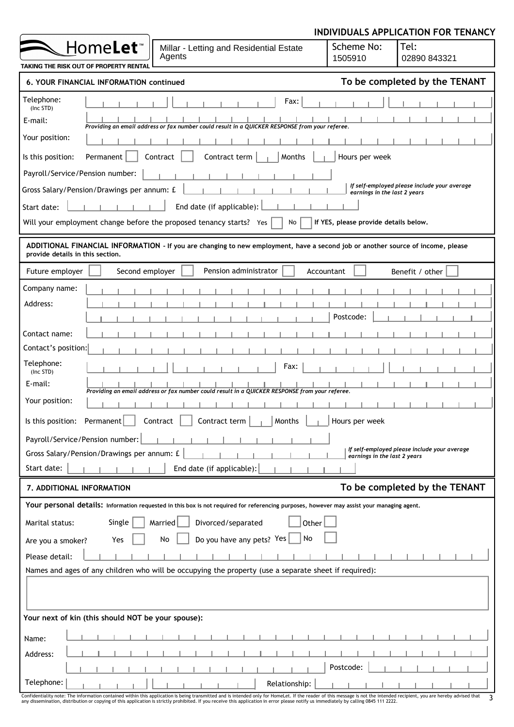|                                                                                                                                                                     |                                       | INDIVIDUALS APPLICATION FOR TENANCY          |
|---------------------------------------------------------------------------------------------------------------------------------------------------------------------|---------------------------------------|----------------------------------------------|
| Home <b>Let</b> ™<br>Millar - Letting and Residential Estate<br>Agents                                                                                              | Scheme No:<br>1505910                 | Tel:<br>02890 843321                         |
| <b>TAKING THE RISK OUT OF PROPERTY RENTAL</b>                                                                                                                       |                                       |                                              |
| 6. YOUR FINANCIAL INFORMATION continued                                                                                                                             |                                       | To be completed by the TENANT                |
| Telephone:<br>Fax:<br>(Inc STD)<br>E-mail:<br>Providing an email address or fax number could result in a QUICKER RESPONSE from your referee.                        |                                       |                                              |
| Your position:                                                                                                                                                      |                                       |                                              |
| Contract<br>Contract term<br>Months<br>Is this position:<br>Permanent                                                                                               | Hours per week                        |                                              |
| Payroll/Service/Pension number:                                                                                                                                     |                                       |                                              |
| Gross Salary/Pension/Drawings per annum: £                                                                                                                          | earnings in the last 2 years          | If self-employed please include your average |
| End date (if applicable):<br>Start date:                                                                                                                            |                                       |                                              |
| Will your employment change before the proposed tenancy starts? Yes<br>No                                                                                           | If YES, please provide details below. |                                              |
| ADDITIONAL FINANCIAL INFORMATION - If you are changing to new employment, have a second job or another source of income, please<br>provide details in this section. |                                       |                                              |
| Second employer<br>Pension administrator<br>Future employer<br>Accountant                                                                                           |                                       | Benefit / other                              |
| Company name:                                                                                                                                                       |                                       |                                              |
| Address:                                                                                                                                                            |                                       |                                              |
|                                                                                                                                                                     | Postcode:                             |                                              |
| Contact name:                                                                                                                                                       |                                       |                                              |
| Contact's position:                                                                                                                                                 |                                       |                                              |
| Telephone:<br>Fax:<br>(Inc STD)                                                                                                                                     |                                       |                                              |
| E-mail:<br>Providing an email address or fax number could result in a QUICKER RESPONSE from your referee.                                                           |                                       |                                              |
| Your position:                                                                                                                                                      |                                       |                                              |
| Is this position: Permanent<br>Contract<br>Contract term<br>Months                                                                                                  | Hours per week                        |                                              |
| Payroll/Service/Pension number:                                                                                                                                     |                                       |                                              |
| Gross Salary/Pension/Drawings per annum: £                                                                                                                          | earnings in the last 2 years          | If self-employed please include your average |
| Start date:<br>End date (if applicable):                                                                                                                            |                                       |                                              |
| 7. ADDITIONAL INFORMATION                                                                                                                                           |                                       | To be completed by the TENANT                |
| Your personal details: Information requested in this box is not required for referencing purposes, however may assist your managing agent.                          |                                       |                                              |
| Marital status:<br>Single<br>Divorced/separated<br>Married<br>Other                                                                                                 |                                       |                                              |
| No<br>Do you have any pets? Yes<br>No<br>Yes<br>Are you a smoker?                                                                                                   |                                       |                                              |
| Please detail:                                                                                                                                                      |                                       |                                              |
| Names and ages of any children who will be occupying the property (use a separate sheet if required):                                                               |                                       |                                              |
|                                                                                                                                                                     |                                       |                                              |
|                                                                                                                                                                     |                                       |                                              |
| Your next of kin (this should NOT be your spouse):                                                                                                                  |                                       |                                              |
| Name:                                                                                                                                                               |                                       |                                              |
| Address:                                                                                                                                                            |                                       |                                              |
|                                                                                                                                                                     | Postcode:                             |                                              |
| Telephone:<br>Relationship:<br>only for Homel et If the reader of this message is not the intended recipient                                                        |                                       |                                              |

| Confidentiality note: The information contained within this application is being transmitted and is intended only for HomeLet. If the reader of this message is not the intended recipient, you are hereby advised that |  |
|-------------------------------------------------------------------------------------------------------------------------------------------------------------------------------------------------------------------------|--|
| any dissemination, distribution or copying of this application is strictly prohibited. If you receive this application in error please notify us immediately by calling 0845 111 2222.                                  |  |